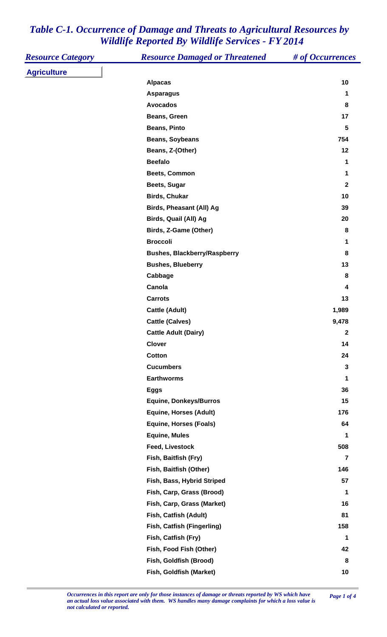| <b>Resource Category</b> | <b>Resource Damaged or Threatened</b> | # of Occurrences        |
|--------------------------|---------------------------------------|-------------------------|
| <b>Agriculture</b>       |                                       |                         |
|                          | <b>Alpacas</b>                        | 10                      |
|                          | <b>Asparagus</b>                      | 1                       |
|                          | <b>Avocados</b>                       | 8                       |
|                          | Beans, Green                          | 17                      |
|                          | <b>Beans, Pinto</b>                   | $5\phantom{1}$          |
|                          | <b>Beans, Soybeans</b>                | 754                     |
|                          | Beans, Z-(Other)                      | 12                      |
|                          | <b>Beefalo</b>                        | 1                       |
|                          | Beets, Common                         | 1                       |
|                          | Beets, Sugar                          | $\mathbf{2}$            |
|                          | <b>Birds, Chukar</b>                  | 10                      |
|                          | Birds, Pheasant (All) Ag              | 39                      |
|                          | Birds, Quail (All) Ag                 | 20                      |
|                          | Birds, Z-Game (Other)                 | 8                       |
|                          | <b>Broccoli</b>                       | 1                       |
|                          | <b>Bushes, Blackberry/Raspberry</b>   | 8                       |
|                          | <b>Bushes, Blueberry</b>              | 13                      |
|                          | Cabbage                               | 8                       |
|                          | Canola                                | 4                       |
|                          | <b>Carrots</b>                        | 13                      |
|                          | <b>Cattle (Adult)</b>                 | 1,989                   |
|                          | <b>Cattle (Calves)</b>                | 9,478                   |
|                          | <b>Cattle Adult (Dairy)</b>           | 2                       |
|                          | <b>Clover</b>                         | 14                      |
|                          | <b>Cotton</b>                         | 24                      |
|                          | <b>Cucumbers</b>                      | 3                       |
|                          | <b>Earthworms</b>                     | 1                       |
|                          | <b>Eggs</b>                           | 36                      |
|                          | <b>Equine, Donkeys/Burros</b>         | 15                      |
|                          | <b>Equine, Horses (Adult)</b>         | 176                     |
|                          | <b>Equine, Horses (Foals)</b>         | 64                      |
|                          | <b>Equine, Mules</b>                  | 1                       |
|                          | Feed, Livestock                       | 508                     |
|                          | Fish, Baitfish (Fry)                  | $\overline{\mathbf{r}}$ |
|                          | Fish, Baitfish (Other)                | 146                     |
|                          | Fish, Bass, Hybrid Striped            | 57                      |
|                          | Fish, Carp, Grass (Brood)             | 1                       |
|                          | Fish, Carp, Grass (Market)            | 16                      |
|                          | Fish, Catfish (Adult)                 | 81                      |
|                          | Fish, Catfish (Fingerling)            | 158                     |
|                          | Fish, Catfish (Fry)                   | 1                       |
|                          | Fish, Food Fish (Other)               | 42                      |
|                          | Fish, Goldfish (Brood)                | 8                       |
|                          | Fish, Goldfish (Market)               | 10                      |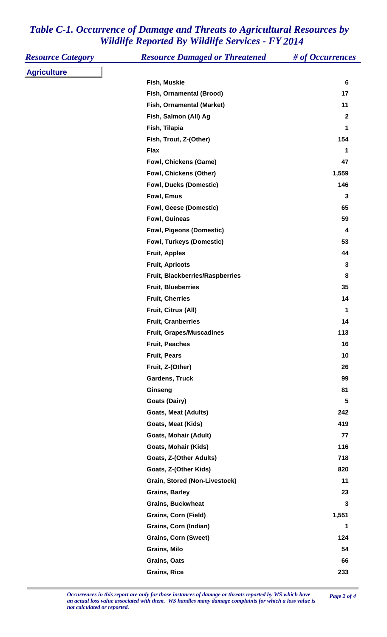| <b>Resource Category</b> | <b>Resource Damaged or Threatened</b> | # of Occurrences |
|--------------------------|---------------------------------------|------------------|
| <b>Agriculture</b>       |                                       |                  |
|                          | Fish, Muskie                          | $6\phantom{1}$   |
|                          | Fish, Ornamental (Brood)              | 17               |
|                          | Fish, Ornamental (Market)             | 11               |
|                          | Fish, Salmon (All) Ag                 | $\boldsymbol{2}$ |
|                          | Fish, Tilapia                         | 1                |
|                          | Fish, Trout, Z-(Other)                | 154              |
|                          | <b>Flax</b>                           | $\mathbf 1$      |
|                          | Fowl, Chickens (Game)                 | 47               |
|                          | Fowl, Chickens (Other)                | 1,559            |
|                          | <b>Fowl, Ducks (Domestic)</b>         | 146              |
|                          | Fowl, Emus                            | $\mathbf{3}$     |
|                          | <b>Fowl, Geese (Domestic)</b>         | 65               |
|                          | Fowl, Guineas                         | 59               |
|                          | <b>Fowl, Pigeons (Domestic)</b>       | 4                |
|                          | <b>Fowl, Turkeys (Domestic)</b>       | 53               |
|                          | <b>Fruit, Apples</b>                  | 44               |
|                          | <b>Fruit, Apricots</b>                | 3                |
|                          | Fruit, Blackberries/Raspberries       | 8                |
|                          | <b>Fruit, Blueberries</b>             | 35               |
|                          | <b>Fruit, Cherries</b>                | 14               |
|                          | Fruit, Citrus (All)                   | $\mathbf 1$      |
|                          | <b>Fruit, Cranberries</b>             | 14               |
|                          | <b>Fruit, Grapes/Muscadines</b>       | 113              |
|                          | <b>Fruit, Peaches</b>                 | 16               |
|                          | <b>Fruit, Pears</b>                   | 10               |
|                          | Fruit, Z-(Other)                      | 26               |
|                          | <b>Gardens, Truck</b>                 | 99               |
|                          | Ginseng                               | 81               |
|                          | <b>Goats (Dairy)</b>                  | 5                |
|                          | <b>Goats, Meat (Adults)</b>           | 242              |
|                          | <b>Goats, Meat (Kids)</b>             | 419              |
|                          | <b>Goats, Mohair (Adult)</b>          | 77               |
|                          | <b>Goats, Mohair (Kids)</b>           | 116              |
|                          | Goats, Z-(Other Adults)               | 718              |
|                          | Goats, Z-(Other Kids)                 | 820              |
|                          | Grain, Stored (Non-Livestock)         | 11               |
|                          | <b>Grains, Barley</b>                 | 23               |
|                          | <b>Grains, Buckwheat</b>              | $\mathbf 3$      |
|                          | <b>Grains, Corn (Field)</b>           | 1,551            |
|                          | Grains, Corn (Indian)                 | 1                |
|                          | <b>Grains, Corn (Sweet)</b>           | 124              |
|                          | Grains, Milo                          | 54               |
|                          | <b>Grains, Oats</b>                   | 66               |
|                          | <b>Grains, Rice</b>                   | 233              |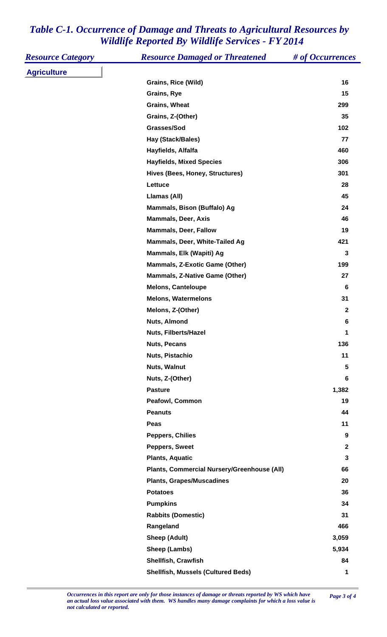| <b>Resource Category</b> | <b>Resource Damaged or Threatened</b>       | # of Occurrences |
|--------------------------|---------------------------------------------|------------------|
| <b>Agriculture</b>       |                                             |                  |
|                          | Grains, Rice (Wild)                         | 16               |
|                          | Grains, Rye                                 | 15               |
|                          | <b>Grains, Wheat</b>                        | 299              |
|                          | Grains, Z-(Other)                           | 35               |
|                          | Grasses/Sod                                 | 102              |
|                          | Hay (Stack/Bales)                           | 77               |
|                          | Hayfields, Alfalfa                          | 460              |
|                          | <b>Hayfields, Mixed Species</b>             | 306              |
|                          | Hives (Bees, Honey, Structures)             | 301              |
|                          | Lettuce                                     | 28               |
|                          | Llamas (All)                                | 45               |
|                          | Mammals, Bison (Buffalo) Ag                 | 24               |
|                          | <b>Mammals, Deer, Axis</b>                  | 46               |
|                          | <b>Mammals, Deer, Fallow</b>                | 19               |
|                          | Mammals, Deer, White-Tailed Ag              | 421              |
|                          | Mammals, Elk (Wapiti) Ag                    | 3                |
|                          | <b>Mammals, Z-Exotic Game (Other)</b>       | 199              |
|                          | <b>Mammals, Z-Native Game (Other)</b>       | 27               |
|                          | <b>Melons, Canteloupe</b>                   | $6\phantom{1}6$  |
|                          | <b>Melons, Watermelons</b>                  | 31               |
|                          | Melons, Z-(Other)                           | $\mathbf{2}$     |
|                          | Nuts, Almond                                | 6                |
|                          | Nuts, Filberts/Hazel                        | 1                |
|                          | <b>Nuts, Pecans</b>                         | 136              |
|                          | Nuts, Pistachio                             | 11               |
|                          | Nuts, Walnut                                | 5                |
|                          | Nuts, Z-(Other)                             | 6                |
|                          | <b>Pasture</b>                              | 1,382            |
|                          | Peafowl, Common                             | 19               |
|                          | <b>Peanuts</b>                              | 44               |
|                          | Peas                                        | 11               |
|                          | <b>Peppers, Chilies</b>                     | 9                |
|                          | Peppers, Sweet                              | $\mathbf 2$      |
|                          | <b>Plants, Aquatic</b>                      | 3                |
|                          | Plants, Commercial Nursery/Greenhouse (All) | 66               |
|                          | <b>Plants, Grapes/Muscadines</b>            | 20               |
|                          | <b>Potatoes</b>                             | 36               |
|                          | <b>Pumpkins</b>                             | 34               |
|                          | <b>Rabbits (Domestic)</b>                   | 31               |
|                          | Rangeland                                   | 466              |
|                          | <b>Sheep (Adult)</b>                        | 3,059            |
|                          | Sheep (Lambs)                               | 5,934            |
|                          | <b>Shellfish, Crawfish</b>                  | 84               |
|                          | <b>Shellfish, Mussels (Cultured Beds)</b>   | 1                |